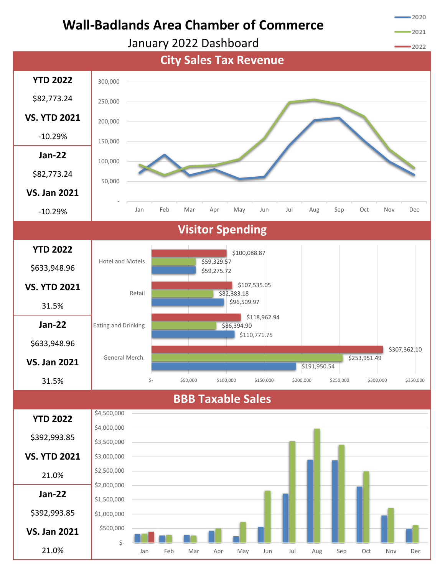

2020

2021



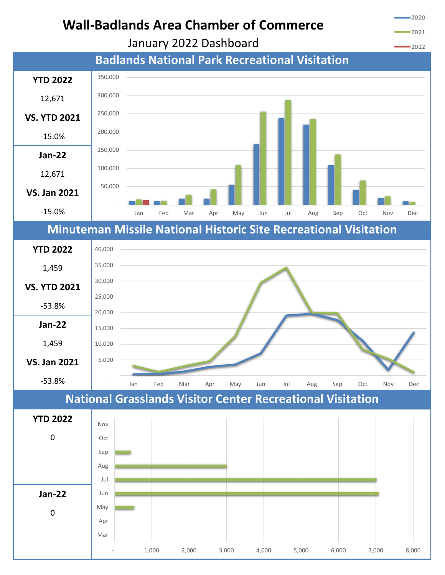

January 2022 Dashboard



-2020

2021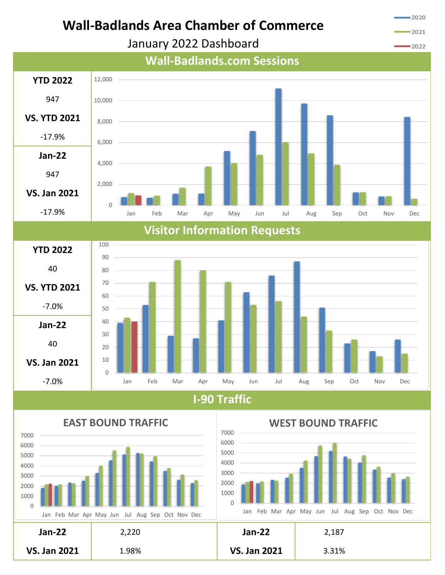

January 2022 Dashboard

2021



Dec

Dec







3.31%

**VS. Jan 2021** 

-2020